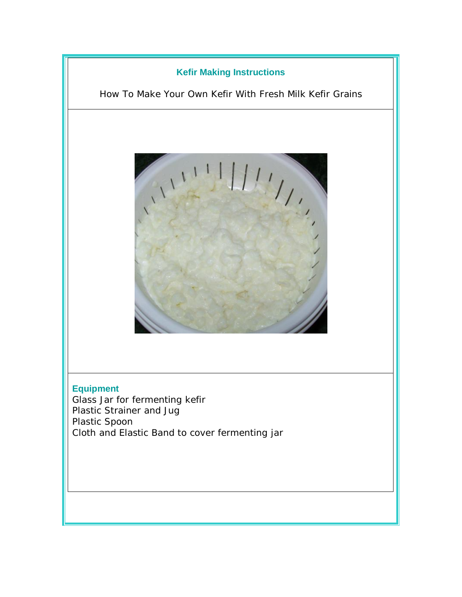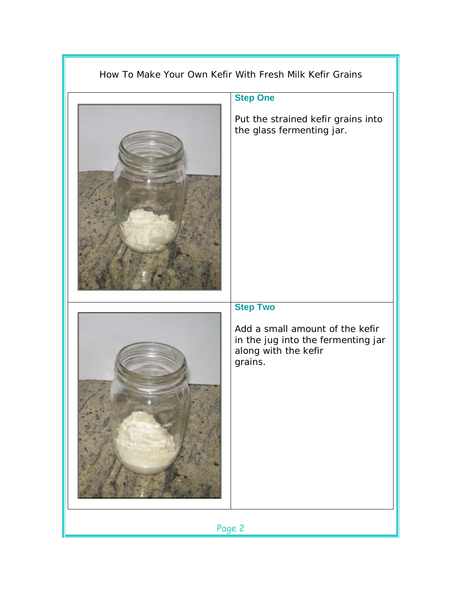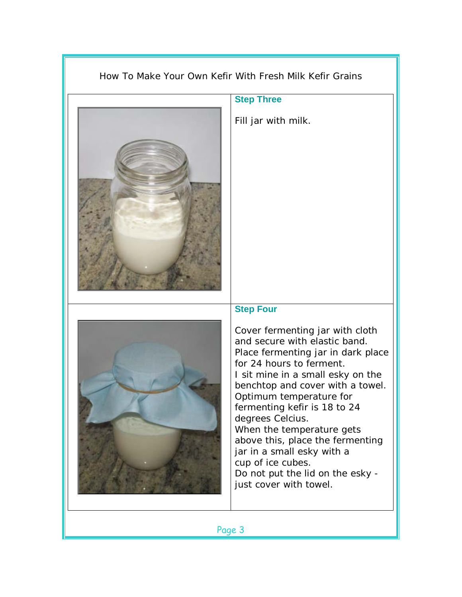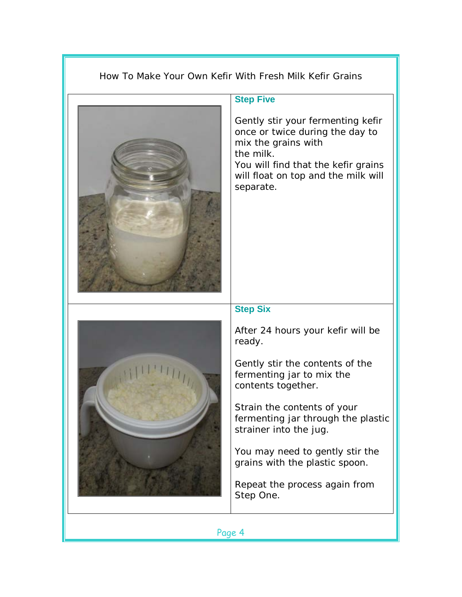## How To Make Your Own Kefir With Fresh Milk Kefir Grains



## **Step Five**

Gently stir your fermenting kefir once or twice during the day to mix the grains with the milk.

You will find that the kefir grains will float on top and the milk will separate.



## **Step Six**

After 24 hours your kefir will be ready.

Gently stir the contents of the fermenting jar to mix the contents together.

Strain the contents of your fermenting jar through the plastic strainer into the jug.

You may need to gently stir the grains with the plastic spoon.

Repeat the process again from Step One.

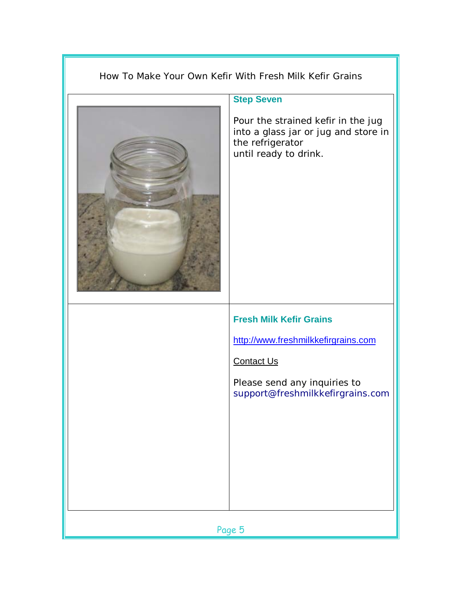